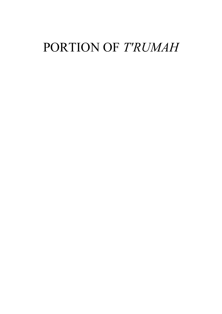## PORTION OF T'RUMAH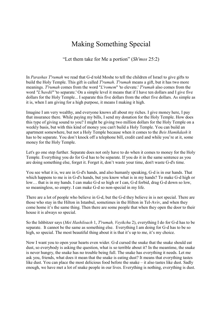## Making Something Special

"Let them take for Me a portion" (Sh'mos 25:2)

In Parashas T'rumah we read that G-d told Moshe to tell the children of Israel to give gifts to build the Holy Temple. This gift is called *T'rumah. T'rumah* means a gift, but it has two more meanings. T'rumah comes from the word "L'romem" 'to elevate.' T'rumah also comes from the word "L'havdil" 'to separate.' On a simple level it means that if I have ten dollars and I give five dollars for the Holy Temple... I separate this five dollars from the other five dollars. As simple as it is, when I am giving for a high purpose, it means I making it high.

Imagine I am very wealthy, and everyone knows all about my riches. I give money here, I pay that insurance there. While paying my bills, I send my donation for the Holy Temple. How does this type of giving sound to you? I might be giving two million dollars for the Holy Temple on a weekly basis, but with this kind of money you can't build a Holy Temple. You can build an apartment somewhere, but not a Holy Temple because when it comes to the Beis Hamikdash it has to be separate. You don't knock off a telephone bill, credit card and while you're at it, some money for the Holy Temple.

Let's go one step further. Separate does not only have to do when it comes to money for the Holy Temple. Everything you do for G-d has to be separate. If you do it in the same sentence as you are doing something else, forget it. Forget it, don't waste your time, don't waste G-d's time.

You see what it is, we are in G-d's hands, and also humanly speaking, G-d is in our hands. That which happens to me is in G-d's hands, but you know what is in my hands? To make G-d high or low… that is in my hands. I can make G-d so high or I can, G-d forbid, drag G-d down so low, so meaningless, so empty. I can make G-d so non-special in my life.

There are a lot of people who believe in G-d, but the G-d they believe in is not special. There are those who stay in the Hilton in Istanbul, sometimes in the Hilton in Tel-Aviv, and when they come home it's the same thing. Then there are some people that when they open the door to their house it is always so special.

So the Ishbitzer says (Mei Hashiloach 1, T'rumah, Veyikchu 2), everything I do for G-d has to be separate. It cannot be the same as something else. Everything I am doing for G-d has to be so high, so special. The most beautiful thing about it is that it's up to me, it's my choice.

Now I want you to open your hearts even wider. G-d cursed the snake that the snake should eat dust, so everybody is asking the question, what is so terrible about it? In the meantime, the snake is never hungry, the snake has no trouble being full. The snake has everything it needs. Let me ask you, friends, what does it mean that the snake is eating dust? It means that everything tastes like dust. You can place the most delicious food before the snake – it also tastes like dust. Sadly enough, we have met a lot of snake people in our lives. Everything is nothing, everything is dust.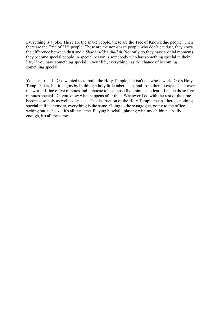Everything is a joke. These are the snake people, these are the Tree of Knowledge people. Then there are the Tree of Life people. These are the non-snake people who don't eat dust, they know the difference between dust and a Shabbosdika challah. Not only do they have special moments, they become special people. A special person is somebody who has something special in their life. If you have something special in your life, everything has the chance of becoming something special.

You see, friends, G-d wanted us to build the Holy Temple, but isn't the whole world G-d's Holy Temple? It is, but it begins by building a holy little tabernacle, and from there it expands all over the world. If have five minutes and I choose to use those five minutes to learn, I made those five minutes special. Do you know what happens after that? Whatever I do with the rest of the time becomes so holy as well, so special. The destruction of the Holy Temple means there is nothing special in life anymore, everything is the same. Going to the synagogue, going to the office, writing out a check... it's all the same. Playing baseball, playing with my children... sadly enough, it's all the same.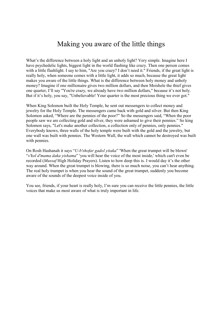## Making you aware of the little things

What's the difference between a holy light and an unholy light? Very simple. Imagine here I have psychedelic lights, biggest light in the world flashing like crazy. Then one person comes with a little flashlight. I say to him, "Are you crazy? I don't need it." Friends, if the great light is really holy, when someone comes with a little light, it adds so much, because the great light makes you aware of the little things. What is the difference between holy money and unholy money? Imagine if one millionaire gives two million dollars, and then Moishele the thief gives one quarter, I'll say "You're crazy, we already have two million dollars," because it's not holy. But if it's holy, you say, "Unbelievable! Your quarter is the most precious thing we ever got."

When King Solomon built the Holy Temple, he sent out messengers to collect money and jewelry for the Holy Temple. The messengers came back with gold and silver. But then King Solomon asked, "Where are the pennies of the poor?" So the messengers said, "When the poor people saw we are collecting gold and silver, they were ashamed to give their pennies." So king Solomon says, "Let's make another collection, a collection only of pennies, only pennies." Everybody knows, three walls of the holy temple were built with the gold and the jewelry, but one wall was built with pennies. The Western Wall, the wall which cannot be destroyed was built with pennies.

On Rosh Hashanah it says "U-b'shofar gadol yitaka" 'When the great trumpet will be blown' "v'kol d'mama daka yishama" 'you will hear the voice of the most inside,' which can't even be recorded (Mussaf High Holiday Prayers). Listen to how deep this is. I would day it's the other way around. When the great trumpet is blowing, there is so much noise, you can't hear anything. The real holy trumpet is when you hear the sound of the great trumpet, suddenly you become aware of the sounds of the deepest voice inside of you.

You see, friends, if your heart is really holy, I'm sure you can receive the little pennies, the little voices that make us most aware of what is truly important in life.